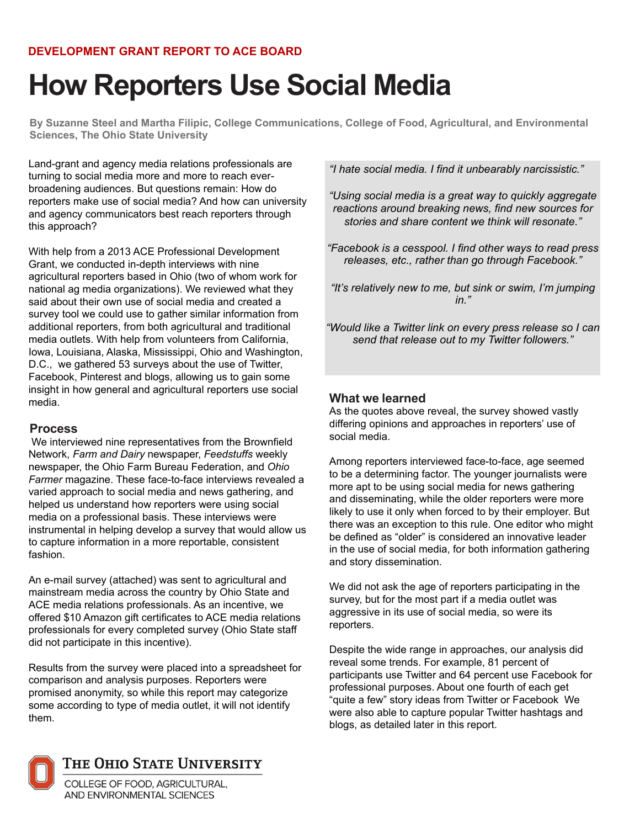# **How Reporters Use Social Media**

**By Suzanne Steel and Martha Filipic, College Communications, College of Food, Agricultural, and Environmental Sciences, The Ohio State University**

Land-grant and agency media relations professionals are turning to social media more and more to reach everbroadening audiences. But questions remain: How do reporters make use of social media? And how can university and agency communicators best reach reporters through this approach?

With help from a 2013 ACE Professional Development Grant, we conducted in-depth interviews with nine agricultural reporters based in Ohio (two of whom work for national ag media organizations). We reviewed what they said about their own use of social media and created a survey tool we could use to gather similar information from additional reporters, from both agricultural and traditional media outlets. With help from volunteers from California, Iowa, Louisiana, Alaska, Mississippi, Ohio and Washington, D.C., we gathered 53 surveys about the use of Twitter, Facebook, Pinterest and blogs, allowing us to gain some insight in how general and agricultural reporters use social media.

# **Process**

 We interviewed nine representatives from the Brownfield Network, *Farm and Dairy* newspaper, *Feedstuffs* weekly newspaper, the Ohio Farm Bureau Federation, and *Ohio Farmer* magazine. These face-to-face interviews revealed a varied approach to social media and news gathering, and helped us understand how reporters were using social media on a professional basis. These interviews were instrumental in helping develop a survey that would allow us to capture information in a more reportable, consistent fashion.

An e-mail survey (attached) was sent to agricultural and mainstream media across the country by Ohio State and ACE media relations professionals. As an incentive, we offered \$10 Amazon gift certificates to ACE media relations professionals for every completed survey (Ohio State staff did not participate in this incentive).

Results from the survey were placed into a spreadsheet for comparison and analysis purposes. Reporters were promised anonymity, so while this report may categorize some according to type of media outlet, it will not identify them.

*"I hate social media. I find it unbearably narcissistic."* 

*"Using social media is a great way to quickly aggregate reactions around breaking news, find new sources for stories and share content we think will resonate."* 

*"Facebook is a cesspool. I find other ways to read press releases, etc., rather than go through Facebook."* 

*"It's relatively new to me, but sink or swim, I'm jumping in."* 

*"Would like a Twitter link on every press release so I can send that release out to my Twitter followers."* 

# **What we learned**

As the quotes above reveal, the survey showed vastly differing opinions and approaches in reporters' use of social media.

Among reporters interviewed face-to-face, age seemed to be a determining factor. The younger journalists were more apt to be using social media for news gathering and disseminating, while the older reporters were more likely to use it only when forced to by their employer. But there was an exception to this rule. One editor who might be defined as "older" is considered an innovative leader in the use of social media, for both information gathering and story dissemination.

We did not ask the age of reporters participating in the survey, but for the most part if a media outlet was aggressive in its use of social media, so were its reporters.

Despite the wide range in approaches, our analysis did reveal some trends. For example, 81 percent of participants use Twitter and 64 percent use Facebook for professional purposes. About one fourth of each get "quite a few" story ideas from Twitter or Facebook We were also able to capture popular Twitter hashtags and blogs, as detailed later in this report.



# THE OHIO STATE UNIVERSITY

COLLEGE OF FOOD, AGRICULTURAL, AND ENVIRONMENTAL SCIENCES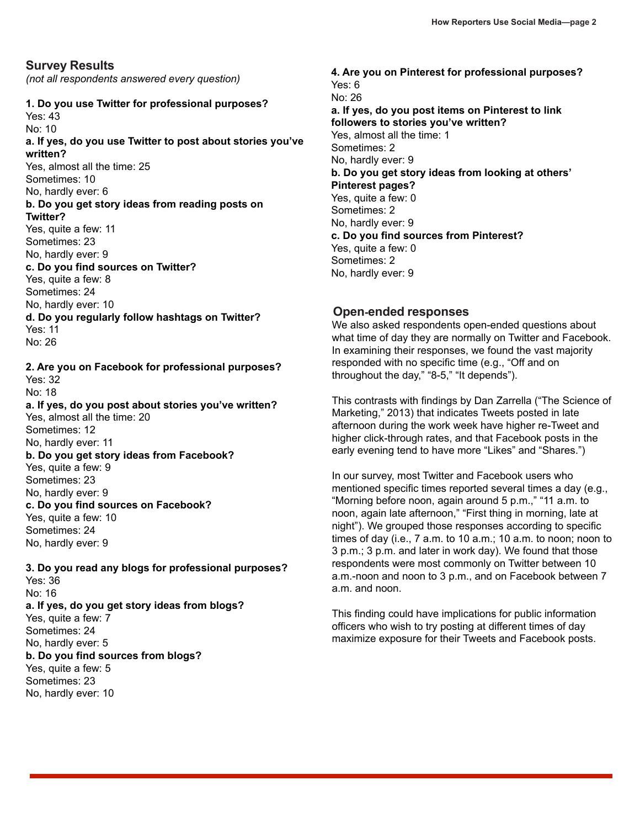*(not all respondents answered every question)*

## **1. Do you use Twitter for professional purposes?**

Yes: 43 No: 10 **a. If yes, do you use Twitter to post about stories you've written?** Yes, almost all the time: 25 Sometimes: 10 No, hardly ever: 6 **b. Do you get story ideas from reading posts on** 

# **Twitter?**

Yes, quite a few: 11 Sometimes: 23 No, hardly ever: 9 **c. Do you find sources on Twitter?** Yes, quite a few: 8 Sometimes: 24 No, hardly ever: 10 **d. Do you regularly follow hashtags on Twitter?** Yes: 11 No: 26

**2. Are you on Facebook for professional purposes?** Yes: 32 No: 18 **a. If yes, do you post about stories you've written?** Yes, almost all the time: 20 Sometimes: 12 No, hardly ever: 11 **b. Do you get story ideas from Facebook?** Yes, quite a few: 9 Sometimes: 23 No, hardly ever: 9 **c. Do you find sources on Facebook?** Yes, quite a few: 10 Sometimes: 24 No, hardly ever: 9

**3. Do you read any blogs for professional purposes?** Yes: 36 No: 16 **a. If yes, do you get story ideas from blogs?** Yes, quite a few: 7 Sometimes: 24 No, hardly ever: 5 **b. Do you find sources from blogs?** Yes, quite a few: 5 Sometimes: 23 No, hardly ever: 10

**4. Are you on Pinterest for professional purposes?** Yes: 6 No: 26 **a. If yes, do you post items on Pinterest to link followers to stories you've written?** Yes, almost all the time: 1 Sometimes: 2 No, hardly ever: 9 **b. Do you get story ideas from looking at others' Pinterest pages?** Yes, quite a few: 0 Sometimes: 2 No, hardly ever: 9 **c. Do you find sources from Pinterest?** Yes, quite a few: 0 Sometimes: 2 No, hardly ever: 9

## **Open-ended responses**

We also asked respondents open-ended questions about what time of day they are normally on Twitter and Facebook. In examining their responses, we found the vast majority responded with no specific time (e.g., "Off and on throughout the day," "8-5," "It depends").

This contrasts with findings by Dan Zarrella ("The Science of Marketing," 2013) that indicates Tweets posted in late afternoon during the work week have higher re-Tweet and higher click-through rates, and that Facebook posts in the early evening tend to have more "Likes" and "Shares.")

In our survey, most Twitter and Facebook users who mentioned specific times reported several times a day (e.g., "Morning before noon, again around 5 p.m.," "11 a.m. to noon, again late afternoon," "First thing in morning, late at night"). We grouped those responses according to specific times of day (i.e., 7 a.m. to 10 a.m.; 10 a.m. to noon; noon to 3 p.m.; 3 p.m. and later in work day). We found that those respondents were most commonly on Twitter between 10 a.m.-noon and noon to 3 p.m., and on Facebook between 7 a.m. and noon.

This finding could have implications for public information officers who wish to try posting at different times of day maximize exposure for their Tweets and Facebook posts.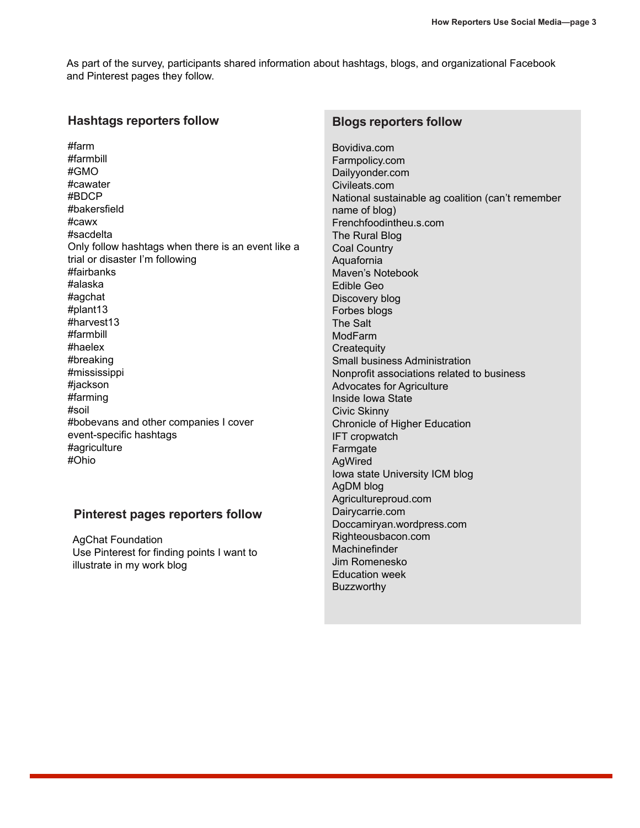As part of the survey, participants shared information about hashtags, blogs, and organizational Facebook and Pinterest pages they follow.

## **Hashtags reporters follow**

#farm #farmbill #GMO #cawater #BDCP #bakersfield #cawx #sacdelta Only follow hashtags when there is an event like a trial or disaster I'm following #fairbanks #alaska #agchat #plant13 #harvest13 #farmbill #haelex #breaking #mississippi #jackson #farming #soil #bobevans and other companies I cover event-specific hashtags #agriculture #Ohio

#### **Pinterest pages reporters follow**

AgChat Foundation Use Pinterest for finding points I want to illustrate in my work blog

#### **Blogs reporters follow**

Bovidiva.com Farmpolicy.com Dailyyonder.com Civileats.com National sustainable ag coalition (can't remember name of blog) Frenchfoodintheu.s.com The Rural Blog Coal Country Aquafornia Maven's Notebook Edible Geo Discovery blog Forbes blogs The Salt ModFarm **Createquity** Small business Administration Nonprofit associations related to business Advocates for Agriculture Inside Iowa State Civic Skinny Chronicle of Higher Education IFT cropwatch Farmgate AgWired Iowa state University ICM blog AgDM blog Agricultureproud.com Dairycarrie.com Doccamiryan.wordpress.com Righteousbacon.com Machinefinder Jim Romenesko Education week **Buzzworthy**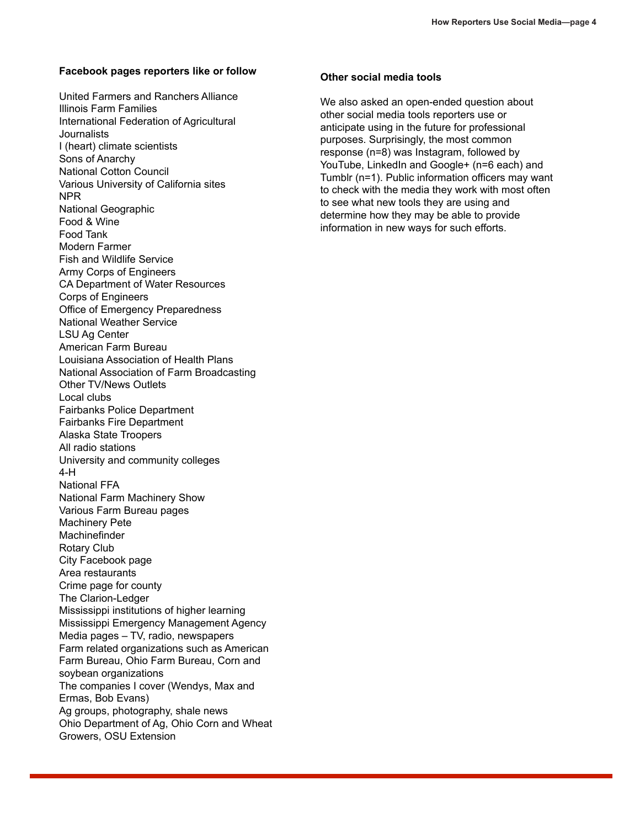#### **Facebook pages reporters like or follow**

United Farmers and Ranchers Alliance Illinois Farm Families International Federation of Agricultural **Journalists** I (heart) climate scientists Sons of Anarchy National Cotton Council Various University of California sites NPR National Geographic Food & Wine Food Tank Modern Farmer Fish and Wildlife Service Army Corps of Engineers CA Department of Water Resources Corps of Engineers Office of Emergency Preparedness National Weather Service LSU Ag Center American Farm Bureau Louisiana Association of Health Plans National Association of Farm Broadcasting Other TV/News Outlets Local clubs Fairbanks Police Department Fairbanks Fire Department Alaska State Troopers All radio stations University and community colleges 4-H National FFA National Farm Machinery Show Various Farm Bureau pages Machinery Pete **Machinefinder** Rotary Club City Facebook page Area restaurants Crime page for county The Clarion-Ledger Mississippi institutions of higher learning Mississippi Emergency Management Agency Media pages – TV, radio, newspapers Farm related organizations such as American Farm Bureau, Ohio Farm Bureau, Corn and soybean organizations The companies I cover (Wendys, Max and Ermas, Bob Evans) Ag groups, photography, shale news Ohio Department of Ag, Ohio Corn and Wheat Growers, OSU Extension

#### **Other social media tools**

We also asked an open-ended question about other social media tools reporters use or anticipate using in the future for professional purposes. Surprisingly, the most common response (n=8) was Instagram, followed by YouTube, LinkedIn and Google+ (n=6 each) and Tumblr (n=1). Public information officers may want to check with the media they work with most often to see what new tools they are using and determine how they may be able to provide information in new ways for such efforts.